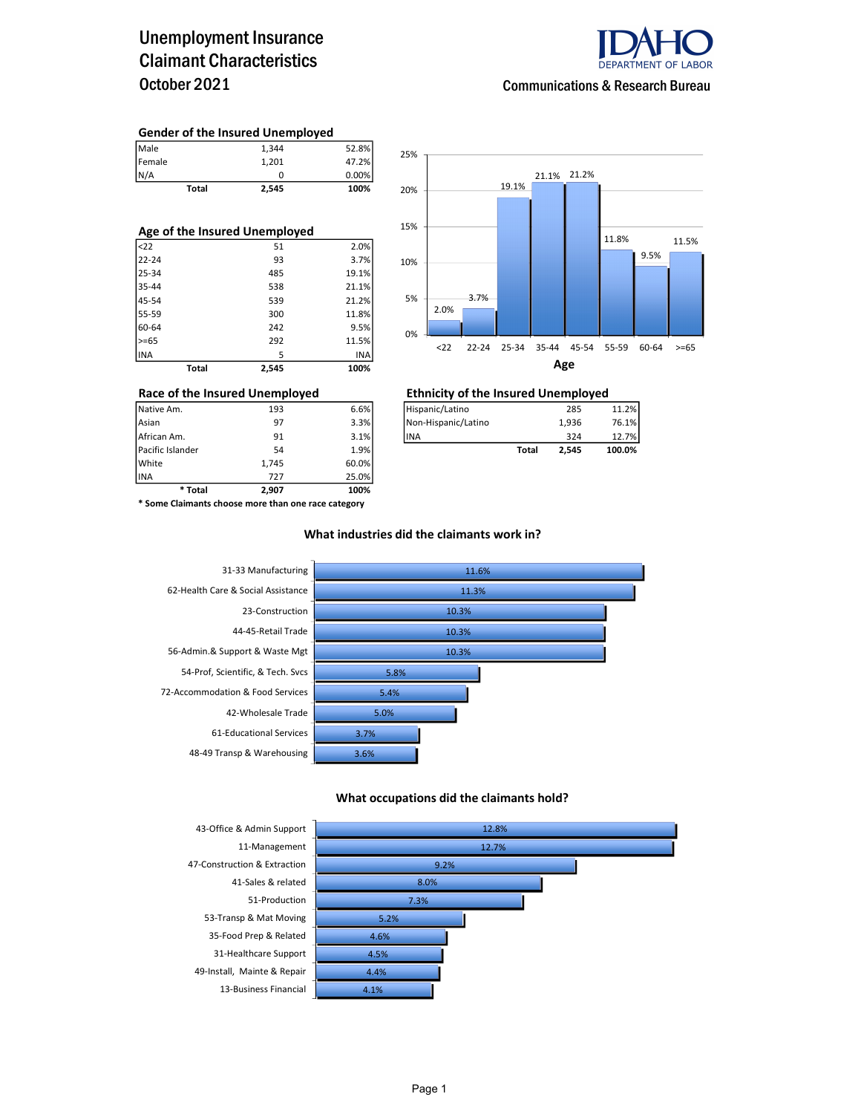## Unemployment Insurance Claimant Characteristics October 2021



### Communications & Research Bureau

#### Gender of the Insured Unemployed

| <b>Total</b> | 2,545 | 100%  |
|--------------|-------|-------|
| N/A          | 0     | 0.00% |
| Female       | 1.201 | 47.2% |
| Male         | 1.344 | 52.8% |

| Age of the Insured Unemployed |       |       |  |  |  |  |  |
|-------------------------------|-------|-------|--|--|--|--|--|
| $ $ <22                       | 51    | 2.0%  |  |  |  |  |  |
| 22-24                         | 93    | 3.7%  |  |  |  |  |  |
| 25-34                         | 485   | 19.1% |  |  |  |  |  |
| 35-44                         | 538   | 21.1% |  |  |  |  |  |
| 45-54                         | 539   | 21.2% |  |  |  |  |  |
| 55-59                         | 300   | 11.8% |  |  |  |  |  |
| 60-64                         | 242   | 9.5%  |  |  |  |  |  |
| $>= 65$                       | 292   | 11.5% |  |  |  |  |  |
| INA                           | 5     | INA   |  |  |  |  |  |
| Total                         | 2,545 | 100%  |  |  |  |  |  |



## Race of the Insured Unemployed<br>
Native Am. 193 6.6% Filispanic/Latino 285 285

| Native Am.       | 193 | 6.6% | Hispanic/Latino     |       | 285   | 11.2%  |
|------------------|-----|------|---------------------|-------|-------|--------|
| Asian            | 97  | 3.3% | Non-Hispanic/Latino |       | 1.936 | 76.1%  |
| African Am.      | 91  | 3.1% | lina                |       | 324   | 12.7%  |
| Pacific Islander | 54  | 1.9% |                     | Total | 2.545 | 100.0% |

INA 727 25.0% \* Some Claimants choose more than one race category

\* Total 2,907 100%

Pacific Islander 54 1.9% White 1,745 60.0%<br>1NA 727 25.0%

#### What industries did the claimants work in?



#### What occupations did the claimants hold?

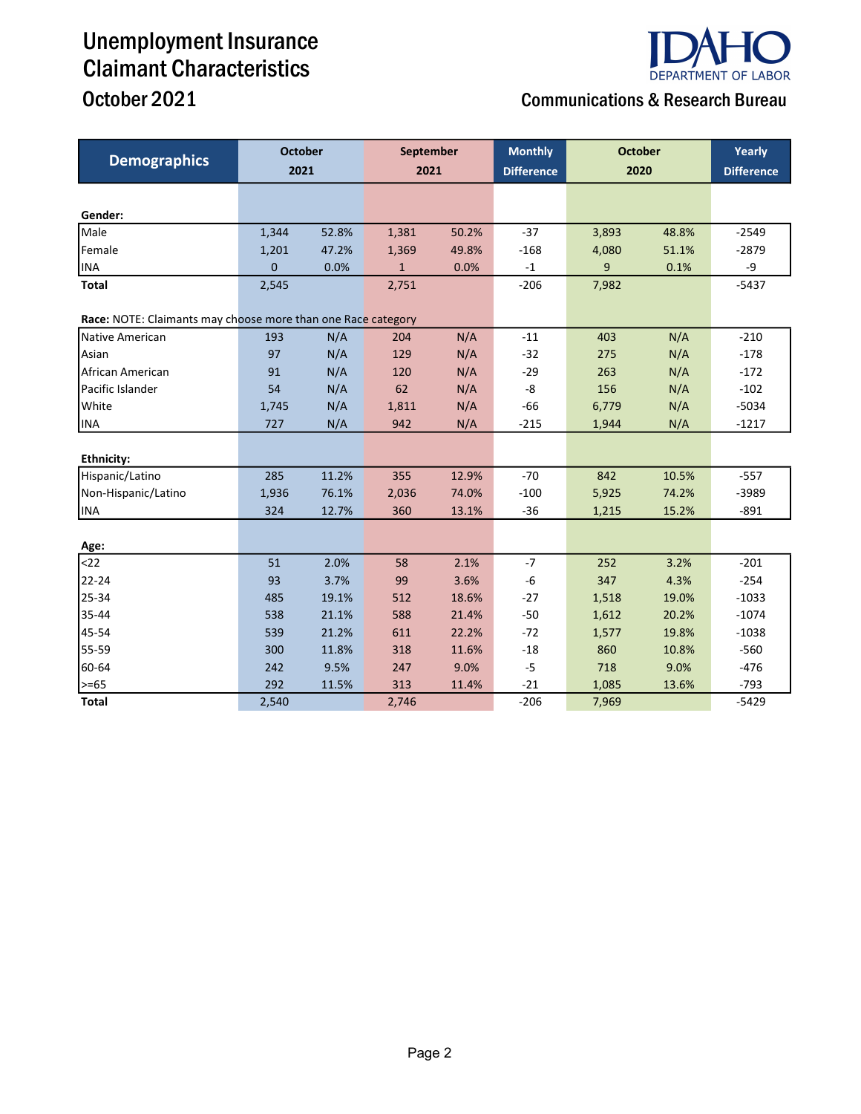## Unemployment Insurance Claimant Characteristics October 2021 **Communications & Research Bureau**

| <b>Demographics</b>                                          | <b>October</b> |       | September<br>2021 |       | <b>Monthly</b>    | <b>October</b><br>2020 |       | Yearly            |
|--------------------------------------------------------------|----------------|-------|-------------------|-------|-------------------|------------------------|-------|-------------------|
|                                                              | 2021           |       |                   |       | <b>Difference</b> |                        |       | <b>Difference</b> |
|                                                              |                |       |                   |       |                   |                        |       |                   |
| Gender:                                                      |                |       |                   |       |                   |                        |       |                   |
| Male                                                         | 1,344          | 52.8% | 1,381             | 50.2% | $-37$             | 3,893                  | 48.8% | $-2549$           |
| Female                                                       | 1,201          | 47.2% | 1,369             | 49.8% | $-168$            | 4,080                  | 51.1% | $-2879$           |
| <b>INA</b>                                                   | 0              | 0.0%  | $\mathbf{1}$      | 0.0%  | $-1$              | 9                      | 0.1%  | -9                |
| <b>Total</b>                                                 | 2,545          |       | 2,751             |       | $-206$            | 7,982                  |       | $-5437$           |
| Race: NOTE: Claimants may choose more than one Race category |                |       |                   |       |                   |                        |       |                   |
| Native American                                              | 193            | N/A   | 204               | N/A   | $-11$             | 403                    | N/A   | $-210$            |
| Asian                                                        | 97             | N/A   | 129               | N/A   | $-32$             | 275                    | N/A   | $-178$            |
| African American                                             | 91             | N/A   | 120               | N/A   | $-29$             | 263                    | N/A   | $-172$            |
| Pacific Islander                                             | 54             | N/A   | 62                | N/A   | -8                | 156                    | N/A   | $-102$            |
| White                                                        | 1,745          | N/A   | 1,811             | N/A   | $-66$             | 6,779                  | N/A   | $-5034$           |
| <b>INA</b>                                                   | 727            | N/A   | 942               | N/A   | $-215$            | 1,944                  | N/A   | $-1217$           |
|                                                              |                |       |                   |       |                   |                        |       |                   |
| Ethnicity:                                                   |                |       |                   |       |                   |                        |       |                   |
| Hispanic/Latino                                              | 285            | 11.2% | 355               | 12.9% | $-70$             | 842                    | 10.5% | $-557$            |
| Non-Hispanic/Latino                                          | 1,936          | 76.1% | 2,036             | 74.0% | $-100$            | 5,925                  | 74.2% | $-3989$           |
| <b>INA</b>                                                   | 324            | 12.7% | 360               | 13.1% | $-36$             | 1,215                  | 15.2% | $-891$            |
|                                                              |                |       |                   |       |                   |                        |       |                   |
| Age:                                                         |                |       |                   |       |                   |                        |       |                   |
| $22$                                                         | 51             | 2.0%  | 58                | 2.1%  | $-7$              | 252                    | 3.2%  | $-201$            |
| 22-24                                                        | 93             | 3.7%  | 99                | 3.6%  | $-6$              | 347                    | 4.3%  | $-254$            |
| 25-34                                                        | 485            | 19.1% | 512               | 18.6% | $-27$             | 1,518                  | 19.0% | $-1033$           |
| 35-44                                                        | 538            | 21.1% | 588               | 21.4% | $-50$             | 1,612                  | 20.2% | $-1074$           |
| 45-54                                                        | 539            | 21.2% | 611               | 22.2% | $-72$             | 1,577                  | 19.8% | $-1038$           |
| 55-59                                                        | 300            | 11.8% | 318               | 11.6% | $-18$             | 860                    | 10.8% | $-560$            |
| 60-64                                                        | 242            | 9.5%  | 247               | 9.0%  | $-5$              | 718                    | 9.0%  | $-476$            |
| $>= 65$                                                      | 292            | 11.5% | 313               | 11.4% | $-21$             | 1,085                  | 13.6% | $-793$            |
| <b>Total</b>                                                 | 2,540          |       | 2,746             |       | $-206$            | 7,969                  |       | $-5429$           |